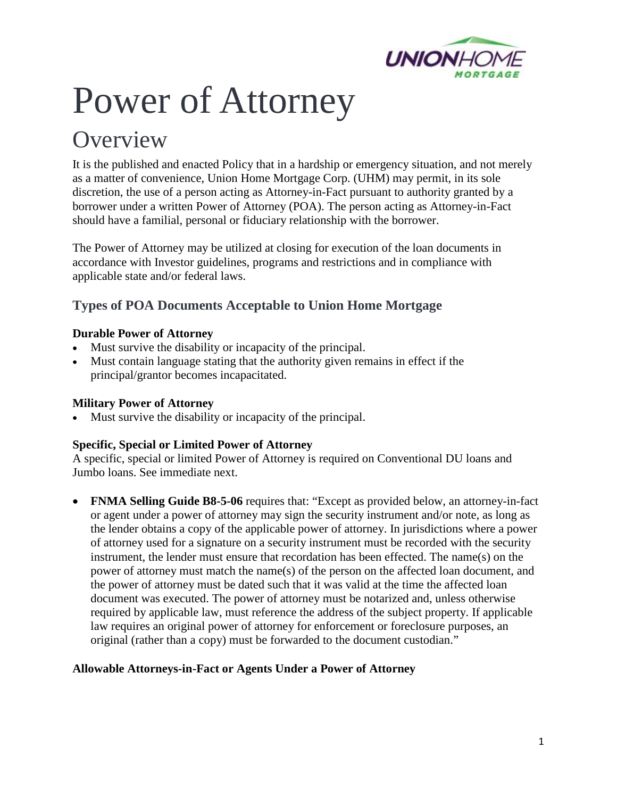

# Power of Attorney

# **Overview**

It is the published and enacted Policy that in a hardship or emergency situation, and not merely as a matter of convenience, Union Home Mortgage Corp. (UHM) may permit, in its sole discretion, the use of a person acting as Attorney-in-Fact pursuant to authority granted by a borrower under a written Power of Attorney (POA). The person acting as Attorney-in-Fact should have a familial, personal or fiduciary relationship with the borrower.

The Power of Attorney may be utilized at closing for execution of the loan documents in accordance with Investor guidelines, programs and restrictions and in compliance with applicable state and/or federal laws.

# **Types of POA Documents Acceptable to Union Home Mortgage**

### **Durable Power of Attorney**

- Must survive the disability or incapacity of the principal.
- Must contain language stating that the authority given remains in effect if the principal/grantor becomes incapacitated.

### **Military Power of Attorney**

Must survive the disability or incapacity of the principal.

### **Specific, Special or Limited Power of Attorney**

A specific, special or limited Power of Attorney is required on Conventional DU loans and Jumbo loans. See immediate next.

• **FNMA Selling Guide B8-5-06** requires that: "Except as provided below, an attorney-in-fact or agent under a power of attorney may sign the security instrument and/or note, as long as the lender obtains a copy of the applicable power of attorney. In jurisdictions where a power of attorney used for a signature on a security instrument must be recorded with the security instrument, the lender must ensure that recordation has been effected. The name(s) on the power of attorney must match the name(s) of the person on the affected loan document, and the power of attorney must be dated such that it was valid at the time the affected loan document was executed. The power of attorney must be notarized and, unless otherwise required by applicable law, must reference the address of the subject property. If applicable law requires an original power of attorney for enforcement or foreclosure purposes, an original (rather than a copy) must be forwarded to the document custodian."

### **Allowable Attorneys-in-Fact or Agents Under a Power of Attorney**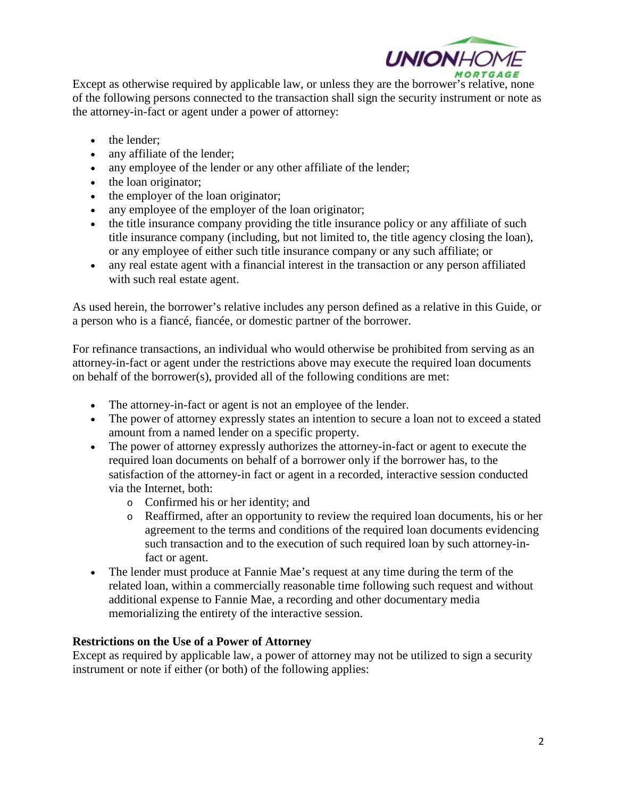

Except as otherwise required by applicable law, or unless they are the borrower's relative, none of the following persons connected to the transaction shall sign the security instrument or note as the attorney-in-fact or agent under a power of attorney:

- the lender;
- any affiliate of the lender;
- any employee of the lender or any other affiliate of the lender;
- the loan originator;
- the employer of the loan originator;
- any employee of the employer of the loan originator;
- the title insurance company providing the title insurance policy or any affiliate of such title insurance company (including, but not limited to, the title agency closing the loan), or any employee of either such title insurance company or any such affiliate; or
- any real estate agent with a financial interest in the transaction or any person affiliated with such real estate agent.

As used herein, the borrower's relative includes any person defined as a relative in this Guide, or a person who is a fiancé, fiancée, or domestic partner of the borrower.

For refinance transactions, an individual who would otherwise be prohibited from serving as an attorney-in-fact or agent under the restrictions above may execute the required loan documents on behalf of the borrower(s), provided all of the following conditions are met:

- The attorney-in-fact or agent is not an employee of the lender.
- The power of attorney expressly states an intention to secure a loan not to exceed a stated amount from a named lender on a specific property.
- The power of attorney expressly authorizes the attorney-in-fact or agent to execute the required loan documents on behalf of a borrower only if the borrower has, to the satisfaction of the attorney-in fact or agent in a recorded, interactive session conducted via the Internet, both:
	- o Confirmed his or her identity; and
	- o Reaffirmed, after an opportunity to review the required loan documents, his or her agreement to the terms and conditions of the required loan documents evidencing such transaction and to the execution of such required loan by such attorney-infact or agent.
- The lender must produce at Fannie Mae's request at any time during the term of the related loan, within a commercially reasonable time following such request and without additional expense to Fannie Mae, a recording and other documentary media memorializing the entirety of the interactive session.

#### **Restrictions on the Use of a Power of Attorney**

Except as required by applicable law, a power of attorney may not be utilized to sign a security instrument or note if either (or both) of the following applies: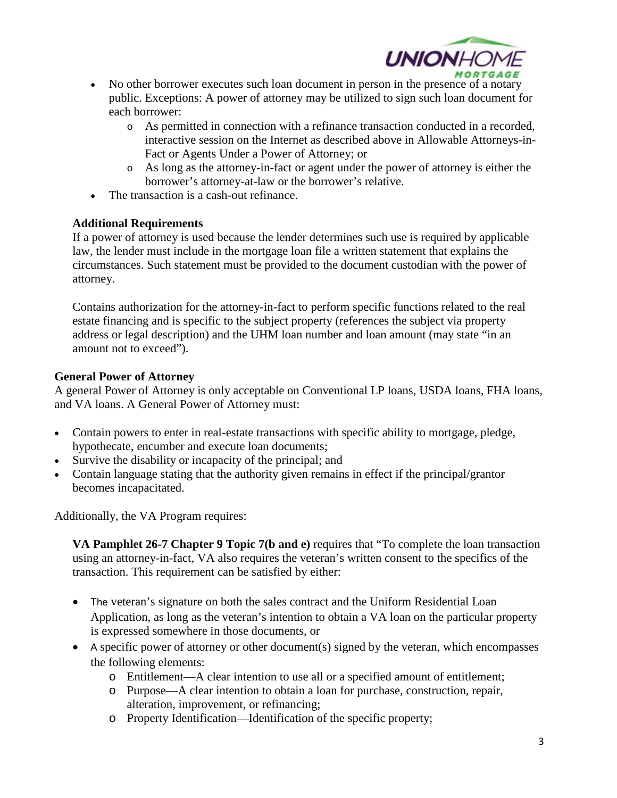

- No other borrower executes such loan document in person in the presence of a notary public. Exceptions: A power of attorney may be utilized to sign such loan document for each borrower:
	- o As permitted in connection with a refinance transaction conducted in a recorded, interactive session on the Internet as described above in Allowable Attorneys-in-Fact or Agents Under a Power of Attorney; or
	- o As long as the attorney-in-fact or agent under the power of attorney is either the borrower's attorney-at-law or the borrower's relative.
- The transaction is a cash-out refinance.

#### **Additional Requirements**

If a power of attorney is used because the lender determines such use is required by applicable law, the lender must include in the mortgage loan file a written statement that explains the circumstances. Such statement must be provided to the document custodian with the power of attorney.

Contains authorization for the attorney-in-fact to perform specific functions related to the real estate financing and is specific to the subject property (references the subject via property address or legal description) and the UHM loan number and loan amount (may state "in an amount not to exceed").

#### **General Power of Attorney**

A general Power of Attorney is only acceptable on Conventional LP loans, USDA loans, FHA loans, and VA loans. A General Power of Attorney must:

- Contain powers to enter in real-estate transactions with specific ability to mortgage, pledge, hypothecate, encumber and execute loan documents;
- Survive the disability or incapacity of the principal; and
- Contain language stating that the authority given remains in effect if the principal/grantor becomes incapacitated.

Additionally, the VA Program requires:

**VA Pamphlet 26-7 Chapter 9 Topic 7(b and e)** requires that "To complete the loan transaction using an attorney-in-fact, VA also requires the veteran's written consent to the specifics of the transaction. This requirement can be satisfied by either:

- The veteran's signature on both the sales contract and the Uniform Residential Loan Application, as long as the veteran's intention to obtain a VA loan on the particular property is expressed somewhere in those documents, or
- A specific power of attorney or other document(s) signed by the veteran, which encompasses the following elements:
	- o Entitlement—A clear intention to use all or a specified amount of entitlement;
	- o Purpose—A clear intention to obtain a loan for purchase, construction, repair, alteration, improvement, or refinancing;
	- o Property Identification—Identification of the specific property;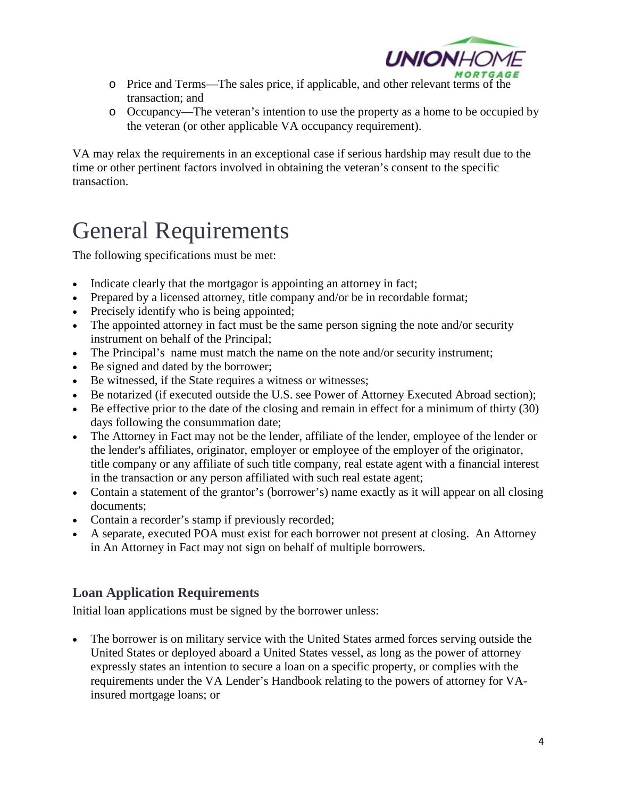

- o Price and Terms—The sales price, if applicable, and other relevant terms of the transaction; and
- o Occupancy—The veteran's intention to use the property as a home to be occupied by the veteran (or other applicable VA occupancy requirement).

VA may relax the requirements in an exceptional case if serious hardship may result due to the time or other pertinent factors involved in obtaining the veteran's consent to the specific transaction.

# General Requirements

The following specifications must be met:

- Indicate clearly that the mortgagor is appointing an attorney in fact;
- Prepared by a licensed attorney, title company and/or be in recordable format;
- Precisely identify who is being appointed;
- The appointed attorney in fact must be the same person signing the note and/or security instrument on behalf of the Principal;
- The Principal's name must match the name on the note and/or security instrument;
- Be signed and dated by the borrower;
- Be witnessed, if the State requires a witness or witnesses;
- Be notarized (if executed outside the U.S. see Power of Attorney Executed Abroad section);
- Be effective prior to the date of the closing and remain in effect for a minimum of thirty (30) days following the consummation date;
- The Attorney in Fact may not be the lender, affiliate of the lender, employee of the lender or the lender's affiliates, originator, employer or employee of the employer of the originator, title company or any affiliate of such title company, real estate agent with a financial interest in the transaction or any person affiliated with such real estate agent;
- Contain a statement of the grantor's (borrower's) name exactly as it will appear on all closing documents;
- Contain a recorder's stamp if previously recorded;
- A separate, executed POA must exist for each borrower not present at closing. An Attorney in An Attorney in Fact may not sign on behalf of multiple borrowers.

# **Loan Application Requirements**

Initial loan applications must be signed by the borrower unless:

• The borrower is on military service with the United States armed forces serving outside the United States or deployed aboard a United States vessel, as long as the power of attorney expressly states an intention to secure a loan on a specific property, or complies with the requirements under the VA Lender's Handbook relating to the powers of attorney for VAinsured mortgage loans; or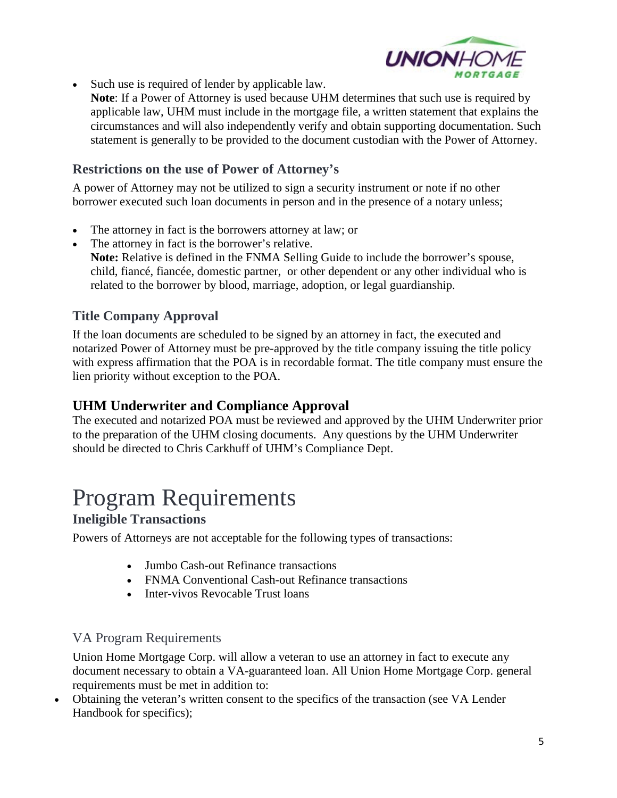

- Such use is required of lender by applicable law.
	- **Note**: If a Power of Attorney is used because UHM determines that such use is required by applicable law, UHM must include in the mortgage file, a written statement that explains the circumstances and will also independently verify and obtain supporting documentation. Such statement is generally to be provided to the document custodian with the Power of Attorney.

### **Restrictions on the use of Power of Attorney's**

A power of Attorney may not be utilized to sign a security instrument or note if no other borrower executed such loan documents in person and in the presence of a notary unless;

- The attorney in fact is the borrowers attorney at law; or
- The attorney in fact is the borrower's relative. **Note:** Relative is defined in the FNMA Selling Guide to include the borrower's spouse, child, fiancé, fiancée, domestic partner, or other dependent or any other individual who is related to the borrower by blood, marriage, adoption, or legal guardianship.

### **Title Company Approval**

If the loan documents are scheduled to be signed by an attorney in fact, the executed and notarized Power of Attorney must be pre-approved by the title company issuing the title policy with express affirmation that the POA is in recordable format. The title company must ensure the lien priority without exception to the POA.

### **UHM Underwriter and Compliance Approval**

The executed and notarized POA must be reviewed and approved by the UHM Underwriter prior to the preparation of the UHM closing documents. Any questions by the UHM Underwriter should be directed to Chris Carkhuff of UHM's Compliance Dept.

# Program Requirements

### **Ineligible Transactions**

Powers of Attorneys are not acceptable for the following types of transactions:

- Jumbo Cash-out Refinance transactions
- FNMA Conventional Cash-out Refinance transactions
- Inter-vivos Revocable Trust loans

### VA Program Requirements

Union Home Mortgage Corp. will allow a veteran to use an attorney in fact to execute any document necessary to obtain a VA-guaranteed loan. All Union Home Mortgage Corp. general requirements must be met in addition to:

• Obtaining the veteran's written consent to the specifics of the transaction (see VA Lender Handbook for specifics);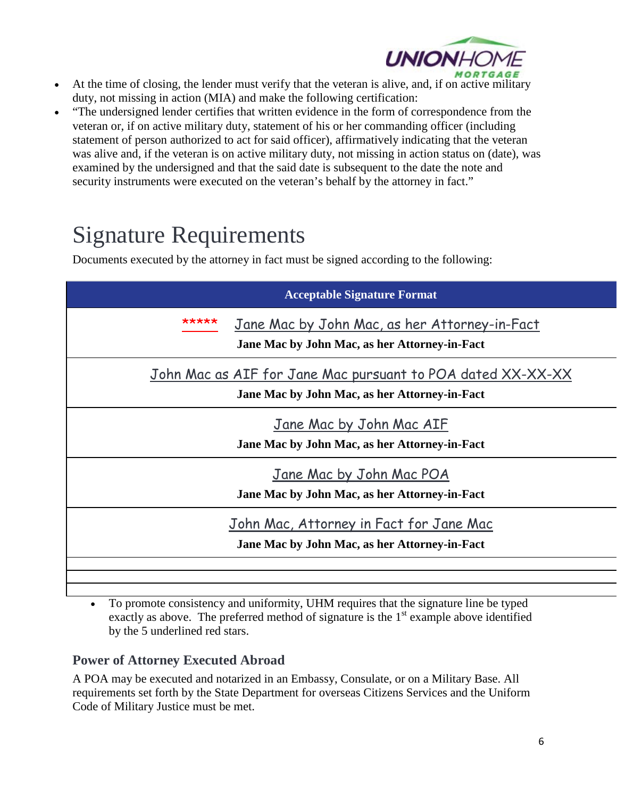

- At the time of closing, the lender must verify that the veteran is alive, and, if on active military duty, not missing in action (MIA) and make the following certification:
- "The undersigned lender certifies that written evidence in the form of correspondence from the veteran or, if on active military duty, statement of his or her commanding officer (including statement of person authorized to act for said officer), affirmatively indicating that the veteran was alive and, if the veteran is on active military duty, not missing in action status on (date), was examined by the undersigned and that the said date is subsequent to the date the note and security instruments were executed on the veteran's behalf by the attorney in fact."

# Signature Requirements

Documents executed by the attorney in fact must be signed according to the following:

| <b>Acceptable Signature Format</b>                                                                           |                                                                                                |
|--------------------------------------------------------------------------------------------------------------|------------------------------------------------------------------------------------------------|
| ****                                                                                                         | Jane Mac by John Mac, as her Attorney-in-Fact<br>Jane Mac by John Mac, as her Attorney-in-Fact |
| John Mac as AIF for Jane Mac pursuant to POA dated XX-XX-XX<br>Jane Mac by John Mac, as her Attorney-in-Fact |                                                                                                |
| Jane Mac by John Mac AIF<br>Jane Mac by John Mac, as her Attorney-in-Fact                                    |                                                                                                |
| Jane Mac by John Mac POA<br>Jane Mac by John Mac, as her Attorney-in-Fact                                    |                                                                                                |
| John Mac, Attorney in Fact for Jane Mac<br>Jane Mac by John Mac, as her Attorney-in-Fact                     |                                                                                                |
|                                                                                                              |                                                                                                |

• To promote consistency and uniformity, UHM requires that the signature line be typed exactly as above. The preferred method of signature is the  $1<sup>st</sup>$  example above identified by the 5 underlined red stars.

# **Power of Attorney Executed Abroad**

A POA may be executed and notarized in an Embassy, Consulate, or on a Military Base. All requirements set forth by the State Department for overseas Citizens Services and the Uniform Code of Military Justice must be met.